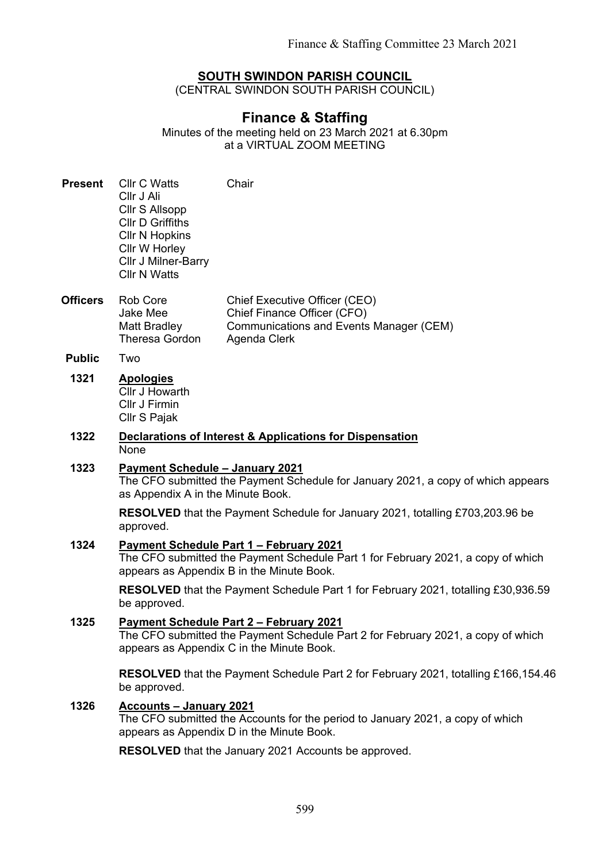## **SOUTH SWINDON PARISH COUNCIL**

(CENTRAL SWINDON SOUTH PARISH COUNCIL)

# **Finance & Staffing**

Minutes of the meeting held on 23 March 2021 at 6.30pm at a VIRTUAL ZOOM MEETING

- **Present** Cllr C Watts Cllr J Ali Cllr S Allsopp Cllr D Griffiths Cllr N Hopkins Cllr W Horley Cllr J Milner-Barry Cllr N Watts **Chair**
- **Officers** Rob Core Jake Mee Matt Bradley Theresa Gordon Chief Executive Officer (CEO) Chief Finance Officer (CFO) Communications and Events Manager (CEM) Agenda Clerk
- **Public** Two
- **1321 Apologies** Cllr J Howarth Cllr J Firmin Cllr S Pajak

#### **1322 Declarations of Interest & Applications for Dispensation** None

# **1323 Payment Schedule – January 2021** The CFO submitted the Payment Schedule for January 2021, a copy of which appears as Appendix A in the Minute Book.

**RESOLVED** that the Payment Schedule for January 2021, totalling £703,203.96 be approved.

## **1324 Payment Schedule Part 1 – February 2021**

The CFO submitted the Payment Schedule Part 1 for February 2021, a copy of which appears as Appendix B in the Minute Book.

**RESOLVED** that the Payment Schedule Part 1 for February 2021, totalling £30,936.59 be approved.

## **1325 Payment Schedule Part 2 – February 2021** The CFO submitted the Payment Schedule Part 2 for February 2021, a copy of which appears as Appendix C in the Minute Book.

**RESOLVED** that the Payment Schedule Part 2 for February 2021, totalling £166,154.46 be approved.

### **1326 Accounts – January 2021**

The CFO submitted the Accounts for the period to January 2021, a copy of which appears as Appendix D in the Minute Book.

**RESOLVED** that the January 2021 Accounts be approved.